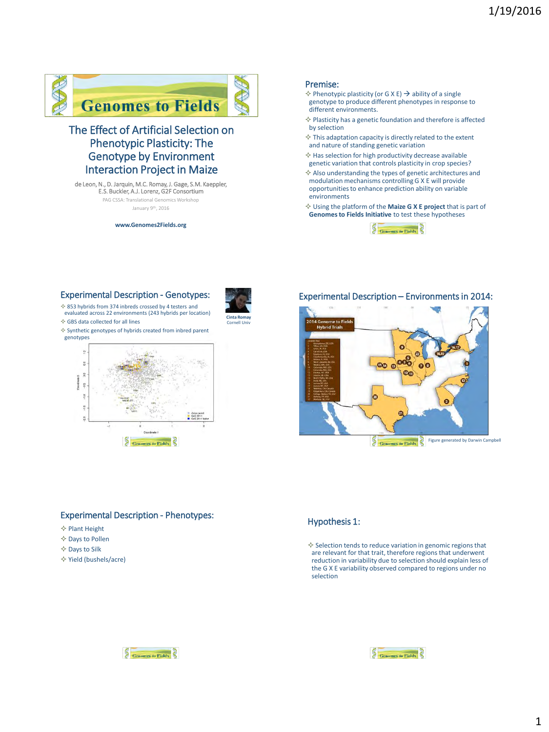

# The Effect of Artificial Selection on Phenotypic Plasticity: The Genotype by Environment Interaction Project in Maize

de Leon, N., D. Jarquin, M.C. Romay, J. Gage, S.M. Kaeppler, E.S. Buckler, A.J. Lorenz, G2F Consortium

PAG CSSA: Translational Genomics Workshop

January 9th, 2016

**www.Genomes2Fields.org**

#### Premise:

- $\diamond$  Phenotypic plasticity (or G X E)  $\rightarrow$  ability of a single genotype to produce different phenotypes in response to different environments.
- $\diamond$  Plasticity has a genetic foundation and therefore is affected by selection
- $\diamondsuit$  This adaptation capacity is directly related to the extent and nature of standing genetic variation
- $\diamond$  Has selection for high productivity decrease available genetic variation that controls plasticity in crop species?
- $\Diamond$  Also understanding the types of genetic architectures and modulation mechanisms controlling G X E will provide opportunities to enhance prediction ability on variable environments
- Using the platform of the **Maize G X E project** that is part of **Genomes to Fields Initiative** to test these hypotheses



# Experimental Description - Genotypes:





 $\diamond$  Synthetic genotypes of hybrids created from inbred parent genotypes



## Experimental Description – Environments in 2014:



## Experimental Description - Phenotypes:

- $\Leftrightarrow$  Plant Height
- $\diamond$  Days to Pollen
- $\Diamond$  Days to Silk
- Yield (bushels/acre)



 $\diamond$  Selection tends to reduce variation in genomic regions that are relevant for that trait, therefore regions that underwent reduction in variability due to selection should explain less of the G X E variability observed compared to regions under no selection



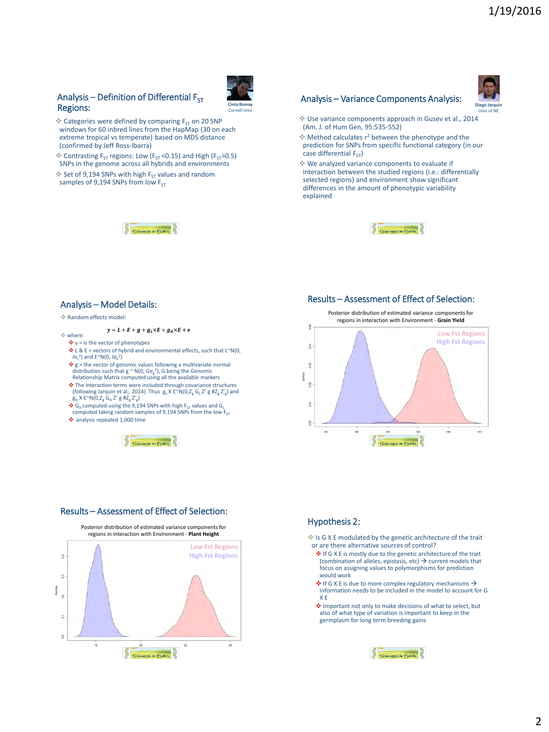# Analysis – Definition of Differential  $F_{ST}$ Regions:



- $\diamondsuit$  Categories were defined by comparing F<sub>ST</sub> on 20 SNP windows for 60 inbred lines from the HapMap (30 on each extreme tropical vs temperate) based on MDS distance (confirmed by Jeff Ross-Ibarra)
- $\Diamond$  Contrasting F<sub>ST</sub> regions: Low (F<sub>ST</sub> < 0.15) and High (F<sub>ST</sub> > 0.5) SNPs in the genome across all hybrids and environments
- $\diamond$  Set of 9,194 SNPs with high F<sub>ST</sub> values and random samples of 9,194 SNPs from low  $F_{ST}$



## Analysis – Variance Components Analysis:



- $\diamond$  Use variance components approach in Gusev et al., 2014 (Am. J. of Hum Gen, 95:535-552)
- $\Diamond$  Method calculates r<sup>2</sup> between the phenotype and the prediction for SNPs from specific functional category (in our case differential  $F_{ST}$ )
- $\diamond$  We analyzed variance components to evaluate if interaction between the studied regions (i.e.: differentially selected regions) and environment show significant differences in the amount of phenotypic variability explained



#### Analysis – Model Details:

#### Random effects model:

#### $y = L + E + g + g_L \times E + g_H \times E + e$

- $\Leftrightarrow$  where:  $\bullet v =$  is the vector of phenotypes
	- $\triangle$  L & E = vectors of hybrid and environmental effects, such that L~N(0, *I*σ<sub>L</sub><sup>2</sup>) and E<sup>~</sup>N(0, *I*σ<sub>E</sub><sup>2</sup>)
	- $\bullet$  g = the vector of genomic values following a multivariate normal distribution such that g  $\sim N(0, G\sigma_g^2)$ , G being the Genomic Relationship Matrix computed using all the available markers
	- The interaction terms were included through covariance structures (following Jarquin et al., 2014). Thus  $g_L X E^{\sim} N(0,Z_g G_L Z' g H Z_g Z'_g)$  and  $g_H X E^{\infty}N(0,Z_g G_H Z' g H Z_g Z'g)$ <br>  $\bullet$  G<sub>H</sub> computed using the 9,194 SNPs with high F<sub>ST</sub> values and G<sub>L</sub> computed taking random samples of 9,194 SNPs from the low F<sub>ST</sub>
	-
	- analysis repeated 1,000 time







Posterior distribution of estimated variance components for regions in interaction with Environment - **Plant Height**



Results – Assessment of Effect of Selection:



## Hypothesis 2:

- $\diamond$  Is G X E modulated by the genetic architecture of the trait or are there alternative sources of control?
	- ◆ If G X E is mostly due to the genetic architecture of the trait (combination of alleles, epistasis, etc)  $\rightarrow$  current models that focus on assigning values to polymorphisms for prediction would work
	- $\triangle$  If G X E is due to more complex regulatory mechanisms  $\rightarrow$ information needs to be included in the model to account for G X E
	- Important not only to make decisions of what to select, but also of what type of variation is important to keep in the germplasm for long term breeding gains

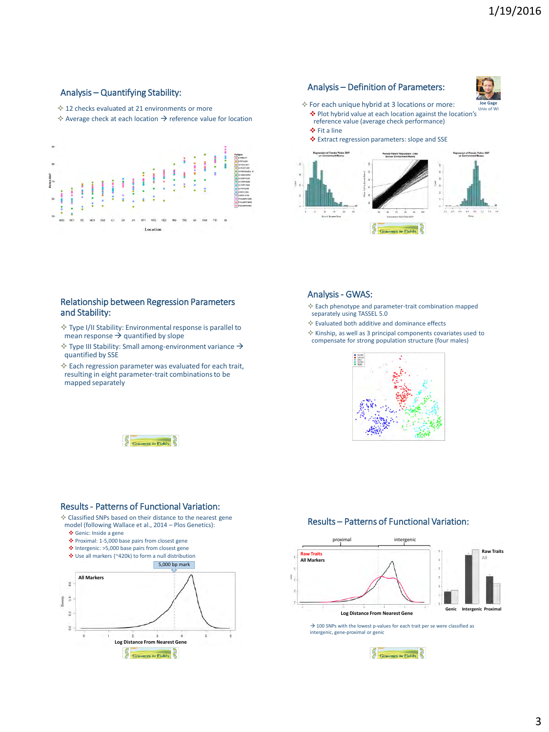# Analysis – Quantifying Stability:

 $\lozenge$  12 checks evaluated at 21 environments or more

 $\Diamond$  Average check at each location  $\rightarrow$  reference value for location



# Analysis – Definition of Parameters:



- $\Diamond$  For each unique hybrid at 3 locations or more: Plot hybrid value at each location against the location's reference value (average check performance) Univ of WI
	- ❖ Fit a line

Extract regression parameters: slope and SSE



#### Relationship between Regression Parameters and Stability:

- $\diamond$  Type I/II Stability: Environmental response is parallel to mean response  $\rightarrow$  quantified by slope
- $\Diamond$  Type III Stability: Small among-environment variance  $\rightarrow$ quantified by SSE
- $\Diamond$  Each regression parameter was evaluated for each trait, resulting in eight parameter-trait combinations to be mapped separately



Analysis - GWAS:



Each phenotype and parameter-trait combination mapped separately using TASSEL 5.0



## Results - Patterns of Functional Variation:

 $\diamond$  Classified SNPs based on their distance to the nearest gene model (following Wallace et al., 2014 – Plos Genetics):

- Genic: Inside a gene
- Proximal: 1-5,000 base pairs from closest gene
- Intergenic: >5,000 base pairs from closest gene Use all markers (~420k) to form a null distribution
- 



## Results – Patterns of Functional Variation:



 $\rightarrow$  100 SNPs with the lowest p-values for each trait per se were classified as intergenic, gene-proximal or genic

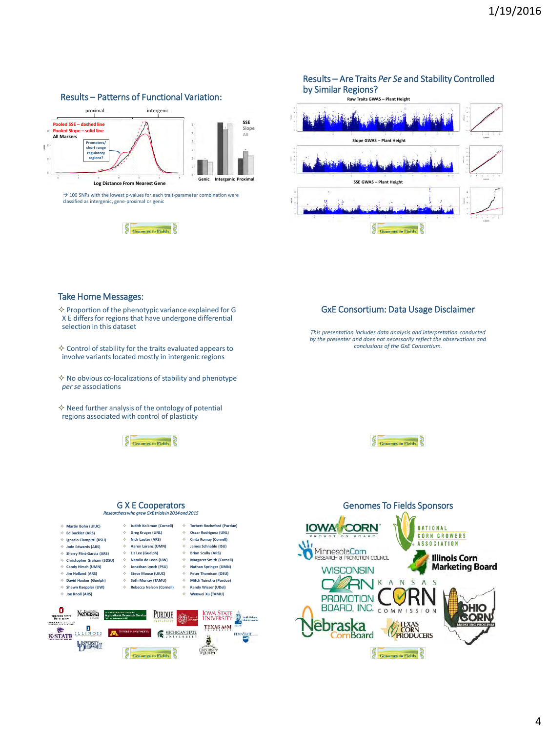

## Results – Are Traits *Per Se* and Stability Controlled by Similar Regions?



#### Take Home Messages:

 $\diamond$  Proportion of the phenotypic variance explained for G X E differs for regions that have undergone differential selection in this dataset

 $\diamond$  Control of stability for the traits evaluated appears to involve variants located mostly in intergenic regions

 $\Diamond$  No obvious co-localizations of stability and phenotype *per se* associations

 $\diamond$  Need further analysis of the ontology of potential regions associated with control of plasticity



#### G X E Cooperators *Researcherswho grew GxE trials in 2014 and 2015*



#### Genomes To Fields Sponsors**IOWA CORN NATIONAL** CORN GROWERS Ab **ASSOCIATION** MinnesotaCorn **Illinois Corn Marketing Board WISCONSIN**  $\overline{\varsigma}$  $\varsigma$  $\Delta$ N.  $\Delta$ **PROMOTION** V Κľ BOARD, INC. COMMISSION **DHIO GORN braska**<br>CornBoard **TEXAS**<br>CORN<br>PRODUCERS Genomes to Fields

# GxE Consortium: Data Usage Disclaimer

*This presentation includes data analysis and interpretation conducted by the presenter and does not necessarily reflect the observations and conclusions of the GxE Consortium.*